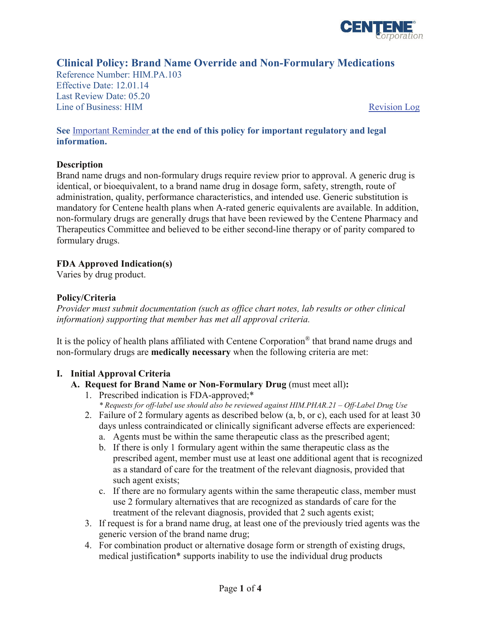

# **Clinical Policy: Brand Name Override and Non-Formulary Medications**

Reference Number: HIM.PA.103 Effective Date: 12.01.14 Last Review Date: 05.20 Line of Business: HIM [Revision Log](#page-2-0)

#### **See** [Important Reminder](#page-2-1) **at the end of this policy for important regulatory and legal information.**

#### **Description**

Brand name drugs and non-formulary drugs require review prior to approval. A generic drug is identical, or bioequivalent, to a brand name drug in dosage form, safety, strength, route of administration, quality, performance characteristics, and intended use. Generic substitution is mandatory for Centene health plans when A-rated generic equivalents are available. In addition, non-formulary drugs are generally drugs that have been reviewed by the Centene Pharmacy and Therapeutics Committee and believed to be either second-line therapy or of parity compared to formulary drugs.

### **FDA Approved Indication(s)**

Varies by drug product.

### **Policy/Criteria**

*Provider must submit documentation (such as office chart notes, lab results or other clinical information) supporting that member has met all approval criteria.* 

It is the policy of health plans affiliated with Centene Corporation® that brand name drugs and non-formulary drugs are **medically necessary** when the following criteria are met:

### **I. Initial Approval Criteria**

### **A. Request for Brand Name or Non-Formulary Drug** (must meet all)**:**

- 1. Prescribed indication is FDA-approved;\* *\* Requests for off-label use should also be reviewed against HIM.PHAR.21 – Off-Label Drug Use*
- 2. Failure of 2 formulary agents as described below (a, b, or c), each used for at least 30 days unless contraindicated or clinically significant adverse effects are experienced:
	- a. Agents must be within the same therapeutic class as the prescribed agent;
	- b. If there is only 1 formulary agent within the same therapeutic class as the prescribed agent, member must use at least one additional agent that is recognized as a standard of care for the treatment of the relevant diagnosis, provided that such agent exists;
	- c. If there are no formulary agents within the same therapeutic class, member must use 2 formulary alternatives that are recognized as standards of care for the treatment of the relevant diagnosis, provided that 2 such agents exist;
- 3. If request is for a brand name drug, at least one of the previously tried agents was the generic version of the brand name drug;
- 4. For combination product or alternative dosage form or strength of existing drugs, medical justification\* supports inability to use the individual drug products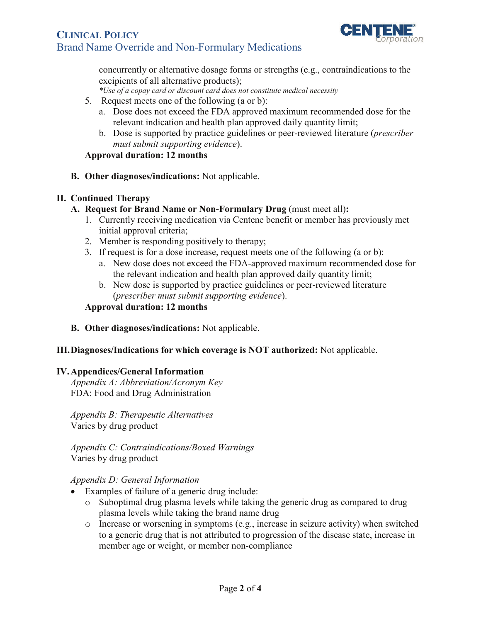# **CLINICAL POLICY** Brand Name Override and Non-Formulary Medications



concurrently or alternative dosage forms or strengths (e.g., contraindications to the excipients of all alternative products);

*\*Use of a copay card or discount card does not constitute medical necessity*

- 5. Request meets one of the following (a or b):
	- a. Dose does not exceed the FDA approved maximum recommended dose for the relevant indication and health plan approved daily quantity limit;
	- b. Dose is supported by practice guidelines or peer-reviewed literature (*prescriber must submit supporting evidence*).

#### **Approval duration: 12 months**

**B. Other diagnoses/indications:** Not applicable.

#### **II. Continued Therapy**

#### **A. Request for Brand Name or Non-Formulary Drug** (must meet all)**:**

- 1. Currently receiving medication via Centene benefit or member has previously met initial approval criteria;
- 2. Member is responding positively to therapy;
- 3. If request is for a dose increase, request meets one of the following (a or b):
	- a. New dose does not exceed the FDA-approved maximum recommended dose for the relevant indication and health plan approved daily quantity limit;
	- b. New dose is supported by practice guidelines or peer-reviewed literature (*prescriber must submit supporting evidence*).

#### **Approval duration: 12 months**

**B. Other diagnoses/indications:** Not applicable.

#### **III.Diagnoses/Indications for which coverage is NOT authorized:** Not applicable.

#### **IV.Appendices/General Information**

*Appendix A: Abbreviation/Acronym Key* FDA: Food and Drug Administration

*Appendix B: Therapeutic Alternatives*  Varies by drug product

*Appendix C: Contraindications/Boxed Warnings* Varies by drug product

#### *Appendix D: General Information*

- Examples of failure of a generic drug include:
	- o Suboptimal drug plasma levels while taking the generic drug as compared to drug plasma levels while taking the brand name drug
	- $\circ$  Increase or worsening in symptoms (e.g., increase in seizure activity) when switched to a generic drug that is not attributed to progression of the disease state, increase in member age or weight, or member non-compliance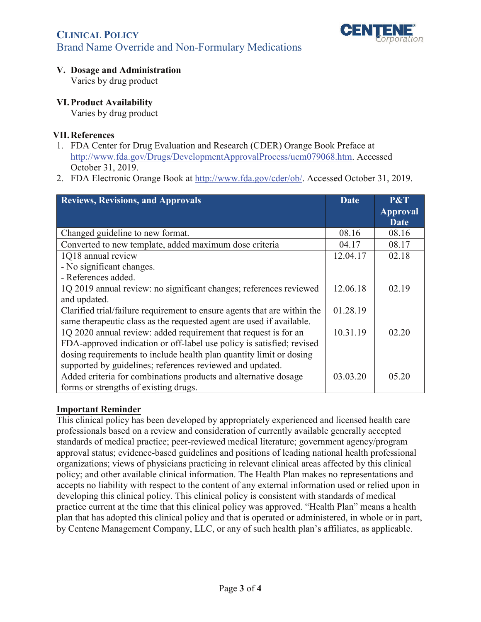

# **CLINICAL POLICY** Brand Name Override and Non-Formulary Medications

## **V. Dosage and Administration**

Varies by drug product

## **VI.Product Availability**

Varies by drug product

### **VII.References**

- 1. FDA Center for Drug Evaluation and Research (CDER) Orange Book Preface at [http://www.fda.gov/Drugs/DevelopmentApprovalProcess/ucm079068.htm.](http://www.fda.gov/Drugs/DevelopmentApprovalProcess/ucm079068.htm) Accessed October 31, 2019.
- 2. FDA Electronic Orange Book at [http://www.fda.gov/cder/ob/.](http://www.fda.gov/cder/ob/) Accessed October 31, 2019.

<span id="page-2-0"></span>

| <b>Reviews, Revisions, and Approvals</b>                                 | <b>Date</b> | P&T             |
|--------------------------------------------------------------------------|-------------|-----------------|
|                                                                          |             | <b>Approval</b> |
|                                                                          |             | <b>Date</b>     |
| Changed guideline to new format.                                         | 08.16       | 08.16           |
| Converted to new template, added maximum dose criteria                   | 04.17       | 08.17           |
| 1Q18 annual review                                                       | 12.04.17    | 02.18           |
| - No significant changes.                                                |             |                 |
| - References added.                                                      |             |                 |
| 1Q 2019 annual review: no significant changes; references reviewed       | 12.06.18    | 02.19           |
| and updated.                                                             |             |                 |
| Clarified trial/failure requirement to ensure agents that are within the | 01.28.19    |                 |
| same therapeutic class as the requested agent are used if available.     |             |                 |
| 1Q 2020 annual review: added requirement that request is for an          | 10.31.19    | 02.20           |
| FDA-approved indication or off-label use policy is satisfied; revised    |             |                 |
| dosing requirements to include health plan quantity limit or dosing      |             |                 |
| supported by guidelines; references reviewed and updated.                |             |                 |
| Added criteria for combinations products and alternative dosage          | 03.03.20    | 05.20           |
| forms or strengths of existing drugs.                                    |             |                 |

### <span id="page-2-1"></span>**Important Reminder**

This clinical policy has been developed by appropriately experienced and licensed health care professionals based on a review and consideration of currently available generally accepted standards of medical practice; peer-reviewed medical literature; government agency/program approval status; evidence-based guidelines and positions of leading national health professional organizations; views of physicians practicing in relevant clinical areas affected by this clinical policy; and other available clinical information. The Health Plan makes no representations and accepts no liability with respect to the content of any external information used or relied upon in developing this clinical policy. This clinical policy is consistent with standards of medical practice current at the time that this clinical policy was approved. "Health Plan" means a health plan that has adopted this clinical policy and that is operated or administered, in whole or in part, by Centene Management Company, LLC, or any of such health plan's affiliates, as applicable.